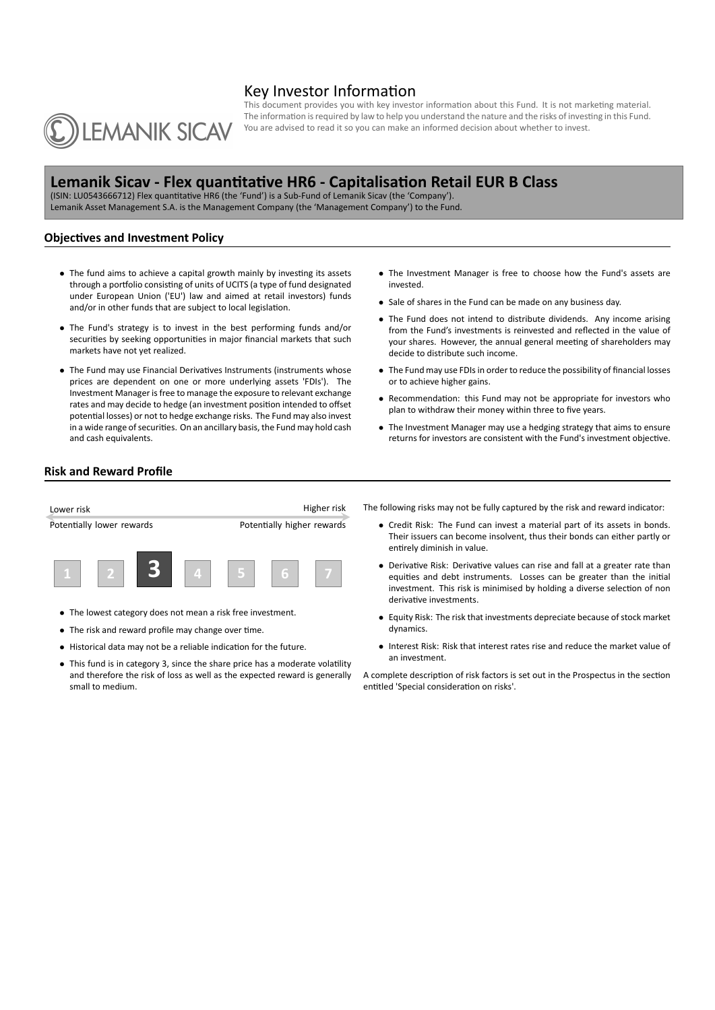# Key Investor Information



This document provides you with key investor information about this Fund. It is not marketing material. The information is required by law to help you understand the nature and the risks of investing in this Fund. You are advised to read it so you can make an informed decision about whether to invest.

# **Lemanik Sicav - Flex quanƟtaƟve HR6 - CapitalisaƟon Retail EUR B Class**

(ISIN: LU0543666712) Flex quantitative HR6 (the 'Fund') is a Sub-Fund of Lemanik Sicav (the 'Company'). Lemanik Asset Management S.A. is the Management Company (the 'Management Company') to the Fund.

## **Objectives and Investment Policy**

- The fund aims to achieve a capital growth mainly by investing its assets through a portfolio consisting of units of UCITS (a type of fund designated under European Union ('EU') law and aimed at retail investors) funds and/or in other funds that are subject to local legislation.
- *•* The Fund's strategy is to invest in the best performing funds and/or securities by seeking opportunities in major financial markets that such markets have not yet realized.
- The Fund may use Financial Derivatives Instruments (instruments whose prices are dependent on one or more underlying assets 'FDIs'). The Investment Manager is free to manage the exposure to relevant exchange rates and may decide to hedge (an investment position intended to offset potential losses) or not to hedge exchange risks. The Fund may also invest in a wide range of securities. On an ancillary basis, the Fund may hold cash and cash equivalents.
- *•* The Investment Manager is free to choose how the Fund's assets are invested.
- *•* Sale of shares in the Fund can be made on any business day.
- *•* The Fund does not intend to distribute dividends. Any income arising from the Fund's investments is reinvested and reflected in the value of your shares. However, the annual general meeting of shareholders may decide to distribute such income.
- *•* The Fund may use FDIs in order to reduce the possibility of financial losses or to achieve higher gains.
- Recommendation: this Fund may not be appropriate for investors who plan to withdraw their money within three to five years.
- *•* The Investment Manager may use a hedging strategy that aims to ensure returns for investors are consistent with the Fund's investment objective.

### **Risk and Reward Profile**



- *•* The lowest category does not mean a risk free investment.
- The risk and reward profile may change over time.
- Historical data may not be a reliable indication for the future.
- This fund is in category 3, since the share price has a moderate volatility and therefore the risk of loss as well as the expected reward is generally small to medium.
- The following risks may not be fully captured by the risk and reward indicator:
	- *•* Credit Risk: The Fund can invest a material part of its assets in bonds. Their issuers can become insolvent, thus their bonds can either partly or entirely diminish in value.
	- Derivative Risk: Derivative values can rise and fall at a greater rate than equities and debt instruments. Losses can be greater than the initial investment. This risk is minimised by holding a diverse selection of non derivative investments.
	- *•* Equity Risk: The risk that investments depreciate because of stock market dynamics.
	- *•* Interest Risk: Risk that interest rates rise and reduce the market value of an investment.

A complete description of risk factors is set out in the Prospectus in the section entitled 'Special consideration on risks'.